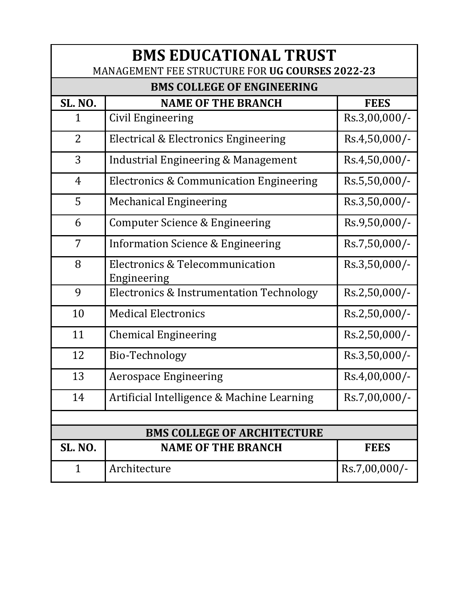| <b>BMS EDUCATIONAL TRUST</b><br>MANAGEMENT FEE STRUCTURE FOR UG COURSES 2022-23 |                                                |                 |  |  |
|---------------------------------------------------------------------------------|------------------------------------------------|-----------------|--|--|
| <b>BMS COLLEGE OF ENGINEERING</b>                                               |                                                |                 |  |  |
| <b>SL. NO.</b>                                                                  | <b>NAME OF THE BRANCH</b>                      | <b>FEES</b>     |  |  |
| $\mathbf 1$                                                                     | Civil Engineering                              | Rs.3,00,000/-   |  |  |
| $\overline{2}$                                                                  | Electrical & Electronics Engineering           | Rs.4,50,000/-   |  |  |
| 3                                                                               | Industrial Engineering & Management            | Rs.4,50,000/-   |  |  |
| $\overline{4}$                                                                  | Electronics & Communication Engineering        | Rs.5,50,000/-   |  |  |
| 5                                                                               | <b>Mechanical Engineering</b>                  | Rs.3,50,000/-   |  |  |
| 6                                                                               | Computer Science & Engineering                 | Rs.9,50,000/-   |  |  |
| $\overline{7}$                                                                  | <b>Information Science &amp; Engineering</b>   | Rs.7,50,000/-   |  |  |
| 8                                                                               | Electronics & Telecommunication<br>Engineering | Rs.3,50,000/-   |  |  |
| 9                                                                               | Electronics & Instrumentation Technology       | Rs.2,50,000/-   |  |  |
| 10                                                                              | <b>Medical Electronics</b>                     | Rs.2,50,000/-   |  |  |
| 11                                                                              | <b>Chemical Engineering</b>                    | Rs.2,50,000/-   |  |  |
| 12                                                                              | Bio-Technology                                 | Rs.3,50,000/-   |  |  |
| 13                                                                              | <b>Aerospace Engineering</b>                   | Rs.4,00,000/-   |  |  |
| 14                                                                              | Artificial Intelligence & Machine Learning     | Rs.7,00,000/-   |  |  |
|                                                                                 |                                                |                 |  |  |
| <b>BMS COLLEGE OF ARCHITECTURE</b>                                              |                                                |                 |  |  |
| <b>SL. NO.</b>                                                                  | <b>NAME OF THE BRANCH</b>                      | <b>FEES</b>     |  |  |
| 1                                                                               | Architecture                                   | $Rs.7,00,000/-$ |  |  |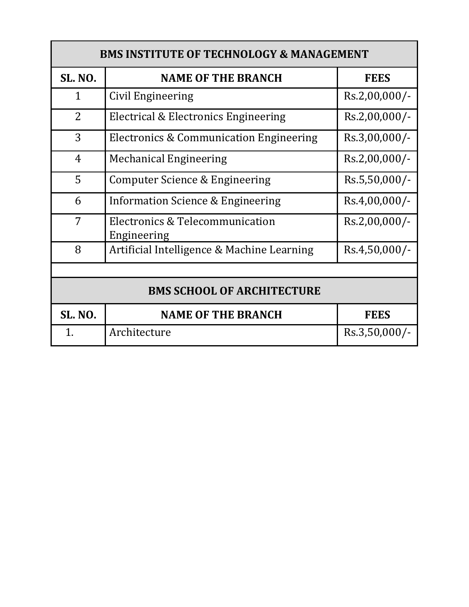| <b>BMS INSTITUTE OF TECHNOLOGY &amp; MANAGEMENT</b> |                                                |                 |  |  |
|-----------------------------------------------------|------------------------------------------------|-----------------|--|--|
| <b>SL. NO.</b>                                      | <b>NAME OF THE BRANCH</b>                      | <b>FEES</b>     |  |  |
| $\mathbf{1}$                                        | Civil Engineering                              | $Rs.2,00,000/-$ |  |  |
| $\overline{2}$                                      | Electrical & Electronics Engineering           | $Rs.2,00,000/-$ |  |  |
| 3                                                   | Electronics & Communication Engineering        | $Rs.3,00,000/-$ |  |  |
| $\overline{4}$                                      | <b>Mechanical Engineering</b>                  | $Rs.2,00,000/-$ |  |  |
| 5                                                   | Computer Science & Engineering                 | Rs.5,50,000/-   |  |  |
| 6                                                   | Information Science & Engineering              | $Rs.4,00,000/-$ |  |  |
| 7                                                   | Electronics & Telecommunication<br>Engineering | Rs.2,00,000/-   |  |  |
| 8                                                   | Artificial Intelligence & Machine Learning     | $Rs.4,50,000/-$ |  |  |
|                                                     |                                                |                 |  |  |
| <b>BMS SCHOOL OF ARCHITECTURE</b>                   |                                                |                 |  |  |
| <b>SL. NO.</b>                                      | <b>NAME OF THE BRANCH</b>                      | <b>FEES</b>     |  |  |
| $\mathbf 1$                                         | Architecture                                   | $Rs.3,50,000/-$ |  |  |